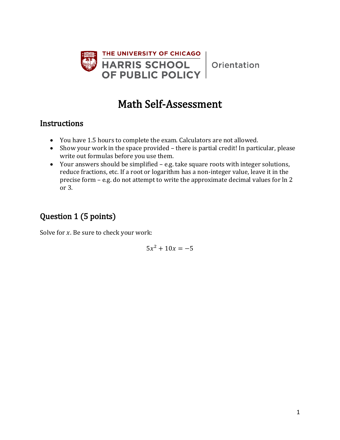

Orientation

## Math Self-Assessment

#### **Instructions**

- You have 1.5 hours to complete the exam. Calculators are not allowed.
- Show your work in the space provided there is partial credit! In particular, please write out formulas before you use them.
- Your answers should be simplified e.g. take square roots with integer solutions, reduce fractions, etc. If a root or logarithm has a non-integer value, leave it in the precise form – e.g. do not attempt to write the approximate decimal values for ln 2 or 3.

## Question 1 (5 points)

Solve for  $x$ . Be sure to check your work:

 $5x^2 + 10x = -5$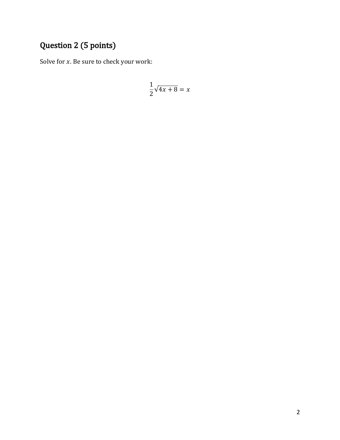## Question 2 (5 points)

Solve for  $x$ . Be sure to check your work:

$$
\frac{1}{2}\sqrt{4x+8} = x
$$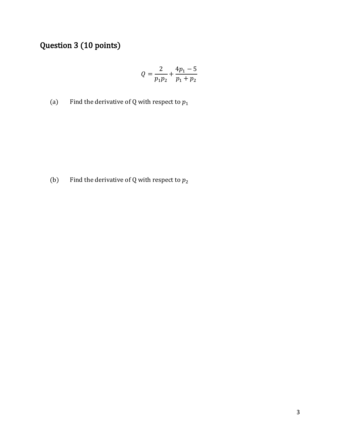## Question 3 (10 points)

$$
Q = \frac{2}{p_1 p_2} + \frac{4p_1 - 5}{p_1 + p_2}
$$

(a) Find the derivative of Q with respect to  $p_1$ 

(b) Find the derivative of Q with respect to  $p_2$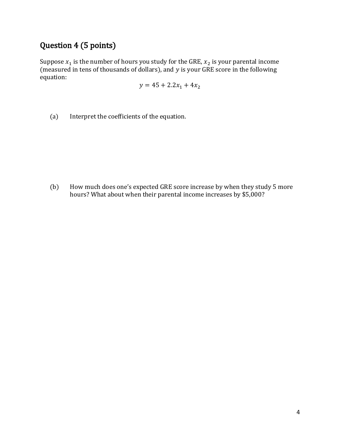### Question 4 (5 points)

Suppose  $x_1$  is the number of hours you study for the GRE,  $x_2$  is your parental income (measured in tens of thousands of dollars), and  $y$  is your GRE score in the following equation:

$$
y = 45 + 2.2x_1 + 4x_2
$$

(a) Interpret the coefficients of the equation.

(b) How much does one's expected GRE score increase by when they study 5 more hours? What about when their parental income increases by \$5,000?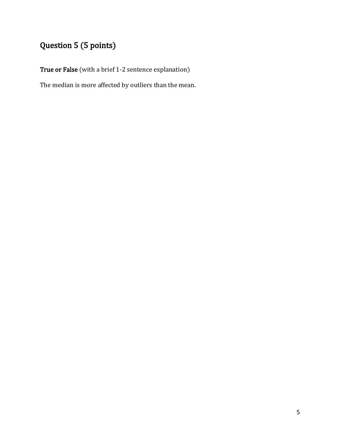# Question 5 (5 points)

True or False (with a brief 1-2 sentence explanation)

The median is more affected by outliers than the mean.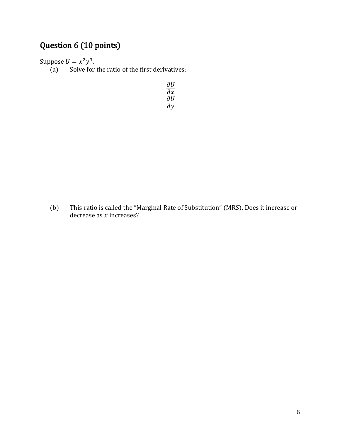## Question 6 (10 points)

Suppose  $U = x^2y^3$ .

 $(a)$  Solve for the ratio of the first derivatives:

$$
\frac{\frac{\partial U}{\partial x}}{\frac{\partial U}{\partial y}}
$$

(b) This ratio is called the "Marginal Rate of Substitution" (MRS). Does it increase or decrease as  $x$  increases?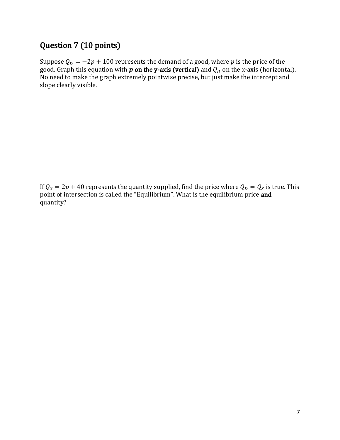### Question 7 (10 points)

Suppose  $Q_D = -2p + 100$  represents the demand of a good, where  $p$  is the price of the good. Graph this equation with  $\bm{p}$  on the y-axis (vertical) and  $Q_D$  on the x-axis (horizontal). No need to make the graph extremely pointwise precise, but just make the intercept and slope clearly visible.

If  $Q_S = 2p + 40$  represents the quantity supplied, find the price where  $Q_D = Q_S$  is true. This point of intersection is called the "Equilibrium". What is the equilibrium price **and** quantity?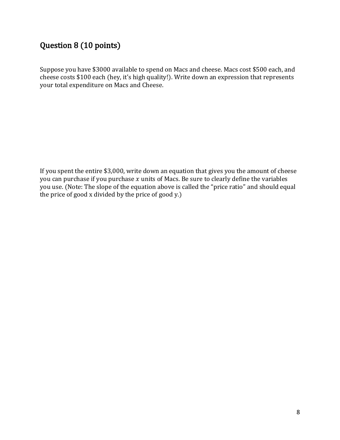### Question 8 (10 points)

Suppose you have \$3000 available to spend on Macs and cheese. Macs cost \$500 each, and cheese costs \$100 each (hey, it's high quality!). Write down an expression that represents your total expenditure on Macs and Cheese.

If you spent the entire \$3,000, write down an equation that gives you the amount of cheese you can purchase if you purchase  $x$  units of Macs. Be sure to clearly define the variables you use. (Note: The slope of the equation above is called the "price ratio" and should equal the price of good x divided by the price of good y.)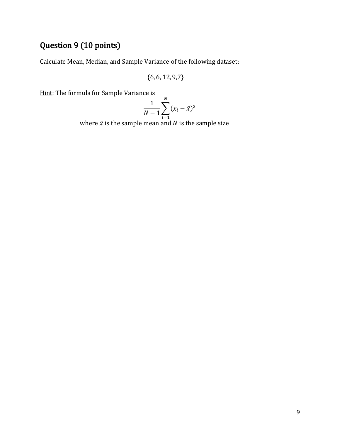## Question 9 (10 points)

Calculate Mean, Median, and Sample Variance of the following dataset:

$$
\{6,6,12,9,7\}
$$

Hint: The formula for Sample Variance is

$$
\frac{1}{N-1} \sum_{i=1}^{N} (x_i - \bar{x})^2
$$

where  $\bar{x}$  is the sample mean and N is the sample size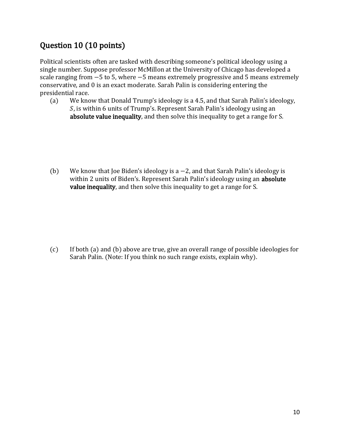### Question 10 (10 points)

Political scientists often are tasked with describing someone's political ideology using a single number. Suppose professor McMillon at the University of Chicago has developed a scale ranging from  $-5$  to 5, where  $-5$  means extremely progressive and 5 means extremely conservative, and 0 is an exact moderate. Sarah Palin is considering entering the presidential race.

(a) We know that Donald Trump's ideology is a 4.5, and that Sarah Palin's ideology, , is within 6 units of Trump's. Represent Sarah Palin's ideology using an absolute value inequality, and then solve this inequality to get a range for S.

(b) We know that Joe Biden's ideology is a −2, and that Sarah Palin's ideology is within 2 units of Biden's. Represent Sarah Palin's ideology using an **absolute** value inequality, and then solve this inequality to get a range for S.

(c) If both (a) and (b) above are true, give an overall range of possible ideologies for Sarah Palin. (Note: If you think no such range exists, explain why).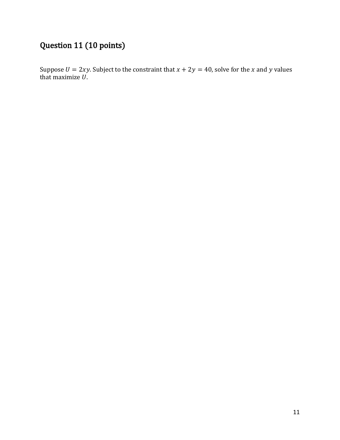## Question 11 (10 points)

Suppose  $U = 2xy$ . Subject to the constraint that  $x + 2y = 40$ , solve for the x and y values that maximize  $U.$